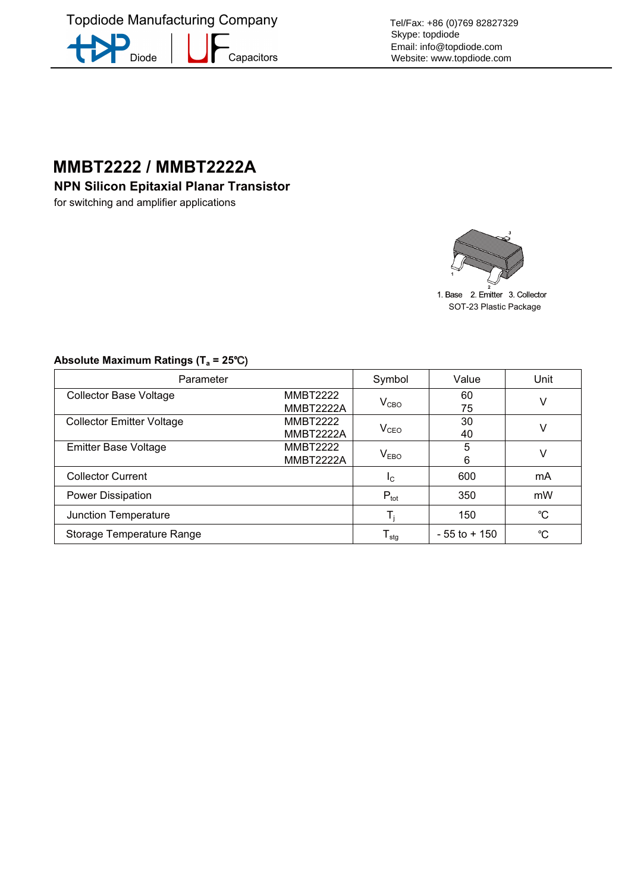**Topdiode Manufacturing Company** -<br>Capacitors Diode

Tel/Fax: +86 (0)769 82827329 Skype: topdiode Email: info@topdiode.com Website: www.topdiode.com

## **MMBT2222 / MMBT2222A**

for switching and amplifier applications



1. Base 2. Emitter 3. Collector SOT-23 Plastic Package

| Parameter                        |                                     | Symbol                      | Value           | Unit |
|----------------------------------|-------------------------------------|-----------------------------|-----------------|------|
| <b>Collector Base Voltage</b>    | <b>MMBT2222</b><br>MMBT2222A        | $\rm V_{CBO}$               | 60<br>75        | v    |
| <b>Collector Emitter Voltage</b> | <b>MMBT2222</b><br>MMBT2222A        | $V_{\texttt{CEO}}$          | 30<br>40        |      |
| <b>Emitter Base Voltage</b>      | <b>MMBT2222</b><br><b>MMBT2222A</b> | $\mathsf{V}_{\mathsf{EBO}}$ | 5<br>6          |      |
| <b>Collector Current</b>         |                                     | $I_{\rm C}$                 | 600             | mA   |
| Power Dissipation                |                                     | $P_{\text{tot}}$            | 350             | mW   |
| Junction Temperature             |                                     |                             | 150             | °C   |
| Storage Temperature Range        |                                     | ${\mathsf T}_{\text{stg}}$  | $-55$ to $+150$ | °C   |

## Absolute Maximum Ratings (T<sub>a</sub> = 25°C)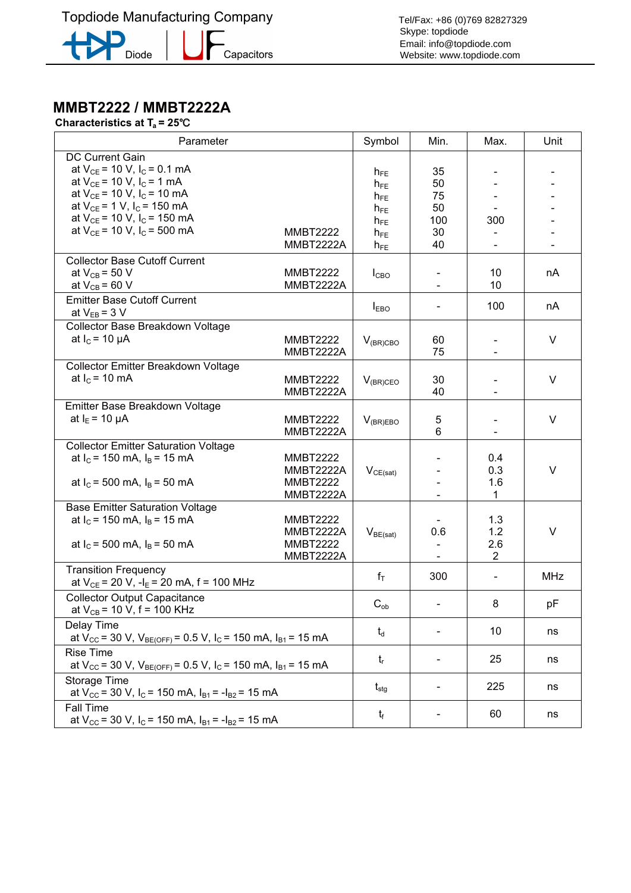**Topdiode Manufacturing Company** 



-<br>Capacitors

Tel/Fax: +86 (0)769 82827329 Skype: topdiode Email: info@topdiode.com Website: www.topdiode.com

## **Characteristics at T<sub>a</sub> = 25°C**

| Parameter                                                                                                                                                                                                      |                                                              | Symbol                                       | Min.                         | Max.                                | Unit       |
|----------------------------------------------------------------------------------------------------------------------------------------------------------------------------------------------------------------|--------------------------------------------------------------|----------------------------------------------|------------------------------|-------------------------------------|------------|
| <b>DC Current Gain</b><br>at $V_{CE}$ = 10 V, I <sub>C</sub> = 0.1 mA<br>at $V_{CE}$ = 10 V, I <sub>C</sub> = 1 mA<br>at $V_{CE}$ = 10 V, I <sub>C</sub> = 10 mA<br>at $V_{CE}$ = 1 V, I <sub>C</sub> = 150 mA |                                                              | $h_{FE}$<br>$h_{FE}$<br>$h_{FE}$<br>$h_{FE}$ | 35<br>50<br>75<br>50         |                                     |            |
| at $V_{CE}$ = 10 V, I <sub>C</sub> = 150 mA                                                                                                                                                                    |                                                              | $h_{FE}$                                     | 100                          | 300                                 |            |
| at $V_{CE}$ = 10 V, I <sub>C</sub> = 500 mA                                                                                                                                                                    | <b>MMBT2222</b>                                              | $h_{FE}$                                     | 30                           |                                     |            |
|                                                                                                                                                                                                                | MMBT2222A                                                    | $h_{FE}$                                     | 40                           |                                     |            |
| <b>Collector Base Cutoff Current</b>                                                                                                                                                                           | <b>MMBT2222</b>                                              |                                              |                              | 10                                  |            |
| at $V_{CB}$ = 50 V<br>at $V_{CB}$ = 60 V                                                                                                                                                                       | MMBT2222A                                                    | $I_{CBO}$                                    |                              | 10                                  | nA         |
| <b>Emitter Base Cutoff Current</b>                                                                                                                                                                             |                                                              | $I_{EBO}$                                    |                              | 100                                 | nA         |
| at $V_{EB} = 3 V$                                                                                                                                                                                              |                                                              |                                              |                              |                                     |            |
| Collector Base Breakdown Voltage<br>at $I_c$ = 10 $\mu$ A                                                                                                                                                      | <b>MMBT2222</b><br>MMBT2222A                                 | $V_{(BR)CBO}$                                | 60<br>75                     |                                     | V          |
| Collector Emitter Breakdown Voltage<br>at $I_c$ = 10 mA                                                                                                                                                        | <b>MMBT2222</b><br>MMBT2222A                                 | $V_{(BR)CEO}$                                | 30<br>40                     |                                     | V          |
| Emitter Base Breakdown Voltage                                                                                                                                                                                 |                                                              |                                              |                              |                                     |            |
| at $I_F$ = 10 $\mu$ A                                                                                                                                                                                          | <b>MMBT2222</b><br>MMBT2222A                                 | $V_{(BR)EBO}$                                | 5<br>6                       |                                     | V          |
| <b>Collector Emitter Saturation Voltage</b><br>at $I_c$ = 150 mA, $I_B$ = 15 mA<br>at $I_c$ = 500 mA, $I_B$ = 50 mA                                                                                            | <b>MMBT2222</b><br>MMBT2222A<br><b>MMBT2222</b><br>MMBT2222A | $V_{CE(sat)}$                                |                              | 0.4<br>0.3<br>1.6<br>1              | V          |
| <b>Base Emitter Saturation Voltage</b>                                                                                                                                                                         |                                                              |                                              |                              |                                     |            |
| at $I_c$ = 150 mA, $I_B$ = 15 mA<br>at $I_c$ = 500 mA, $I_B$ = 50 mA                                                                                                                                           | <b>MMBT2222</b><br>MMBT2222A<br><b>MMBT2222</b><br>MMBT2222A | $V_{BE(sat)}$                                | 0.6                          | 1.3<br>1.2<br>2.6<br>$\overline{2}$ | V          |
| <b>Transition Frequency</b><br>at $V_{CE}$ = 20 V, -l <sub>E</sub> = 20 mA, f = 100 MHz                                                                                                                        |                                                              | $f_T$                                        | 300                          | $\qquad \qquad \blacksquare$        | <b>MHz</b> |
| <b>Collector Output Capacitance</b><br>at $V_{CB}$ = 10 V, f = 100 KHz                                                                                                                                         |                                                              | $C_{ob}$                                     |                              | 8                                   | рF         |
| Delay Time<br>at $V_{\text{CC}}$ = 30 V, $V_{\text{BE(OFF)}}$ = 0.5 V, I <sub>C</sub> = 150 mA, I <sub>B1</sub> = 15 mA                                                                                        |                                                              | $t_d$                                        |                              | 10                                  | ns         |
| <b>Rise Time</b><br>at $V_{CC}$ = 30 V, $V_{BE(OFF)}$ = 0.5 V, I <sub>C</sub> = 150 mA, I <sub>B1</sub> = 15 mA                                                                                                |                                                              | $t_{r}$                                      |                              | 25                                  | ns         |
| <b>Storage Time</b><br>at $V_{\text{CC}}$ = 30 V, I <sub>C</sub> = 150 mA, I <sub>B1</sub> = -I <sub>B2</sub> = 15 mA                                                                                          |                                                              | $t_{\rm{stg}}$                               | $\overline{\phantom{a}}$     | 225                                 | ns         |
| <b>Fall Time</b><br>at $V_{\text{CC}}$ = 30 V, I <sub>C</sub> = 150 mA, I <sub>B1</sub> = -I <sub>B2</sub> = 15 mA                                                                                             |                                                              | $t_{\rm f}$                                  | $\qquad \qquad \blacksquare$ | 60                                  | ns         |